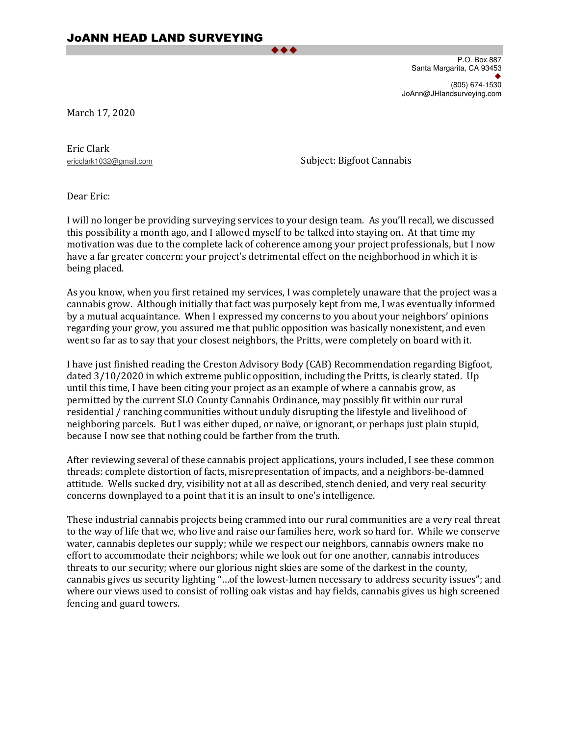$\bullet\hspace{0.75mm}\bullet\hspace{0.75mm}\bullet$ 

P.O. Box 887 Santa Margarita, CA 93453  $\bullet$ (805) 674-1530 JoAnn@JHlandsurveying.com

March 17, 2020

Eric Clark

ericclark1032@gmail.com Subject: Bigfoot Cannabis

Dear Eric:

I will no longer be providing surveying services to your design team. As you'll recall, we discussed this possibility a month ago, and I allowed myself to be talked into staying on. At that time my motivation was due to the complete lack of coherence among your project professionals, but I now have a far greater concern: your project's detrimental effect on the neighborhood in which it is being placed.

As you know, when you first retained my services, I was completely unaware that the project was a cannabis grow. Although initially that fact was purposely kept from me, I was eventually informed by a mutual acquaintance. When I expressed my concerns to you about your neighbors' opinions regarding your grow, you assured me that public opposition was basically nonexistent, and even went so far as to say that your closest neighbors, the Pritts, were completely on board with it.

I have just finished reading the Creston Advisory Body (CAB) Recommendation regarding Bigfoot, dated 3/10/2020 in which extreme public opposition, including the Pritts, is clearly stated. Up until this time, I have been citing your project as an example of where a cannabis grow, as permitted by the current SLO County Cannabis Ordinance, may possibly fit within our rural residential / ranching communities without unduly disrupting the lifestyle and livelihood of neighboring parcels. But I was either duped, or naïve, or ignorant, or perhaps just plain stupid, because I now see that nothing could be farther from the truth.

After reviewing several of these cannabis project applications, yours included, I see these common threads: complete distortion of facts, misrepresentation of impacts, and a neighbors-be-damned attitude. Wells sucked dry, visibility not at all as described, stench denied, and very real security concerns downplayed to a point that it is an insult to one's intelligence.

These industrial cannabis projects being crammed into our rural communities are a very real threat to the way of life that we, who live and raise our families here, work so hard for. While we conserve water, cannabis depletes our supply; while we respect our neighbors, cannabis owners make no effort to accommodate their neighbors; while we look out for one another, cannabis introduces threats to our security; where our glorious night skies are some of the darkest in the county, cannabis gives us security lighting "…of the lowest-lumen necessary to address security issues"; and where our views used to consist of rolling oak vistas and hay fields, cannabis gives us high screened fencing and guard towers.